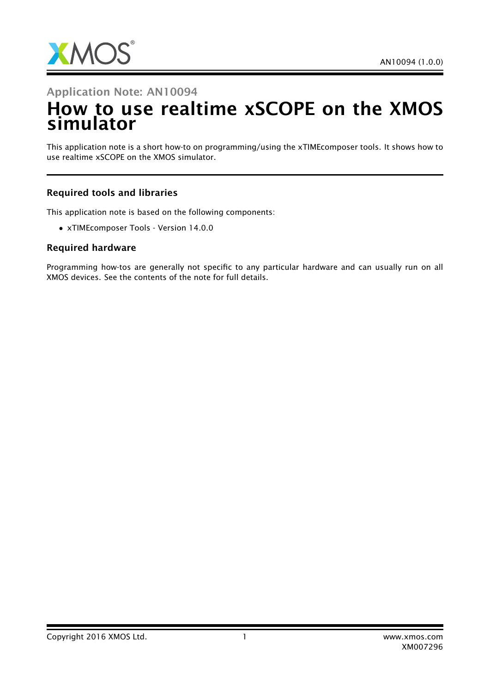

#### Application Note: AN10094

# How to use realtime xSCOPE on the XMOS simulator

This application note is a short how-to on programming/using the xTIMEcomposer tools. It shows how to use realtime xSCOPE on the XMOS simulator.

#### Required tools and libraries

This application note is based on the following components:

• xTIMEcomposer Tools - Version 14.0.0

#### Required hardware

Programming how-tos are generally not specific to any particular hardware and can usually run on all XMOS devices. See the contents of the note for full details.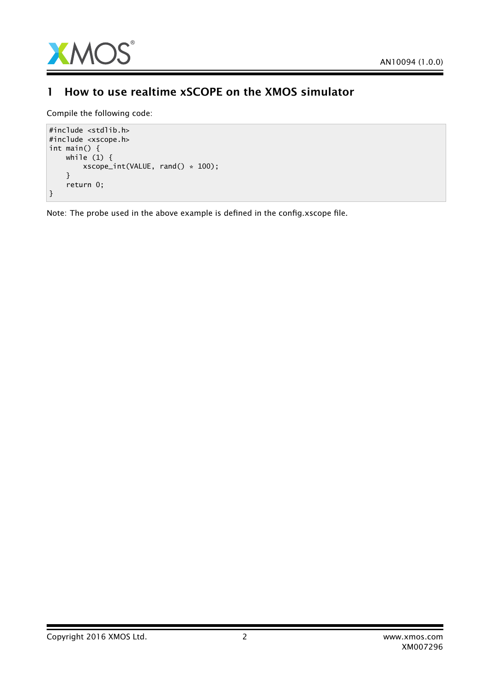

### 1 How to use realtime xSCOPE on the XMOS simulator

Compile the following code:

```
#include <stdlib.h>
#include <xscope.h>
int main() {
   while (1) {
        xscope_int(VALUE, rand() * 100);
    }
    return 0;
}
```
Note: The probe used in the above example is defined in the config.xscope file.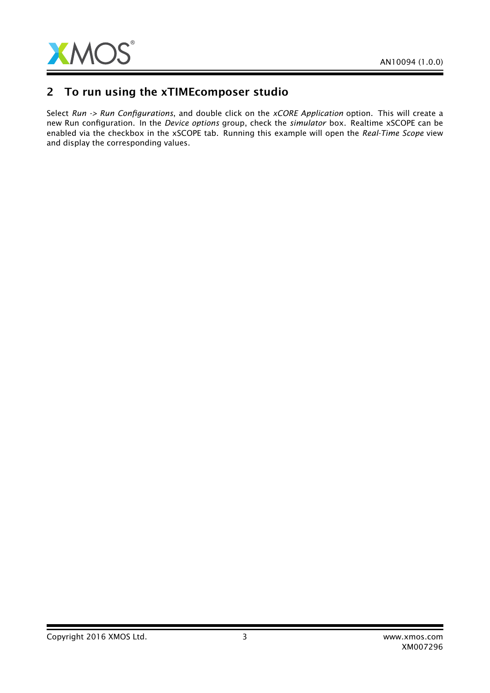

### 2 To run using the xTIMEcomposer studio

Select *Run -> Run Configurations*, and double click on the *xCORE Application* option. This will create a new Run configuration. In the *Device options* group, check the *simulator* box. Realtime xSCOPE can be enabled via the checkbox in the xSCOPE tab. Running this example will open the *Real-Time Scope* view and display the corresponding values.